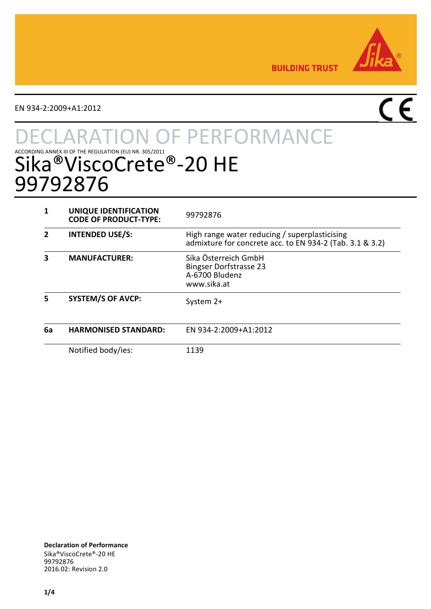

**BUILDING TRUST** 

EN 934-2:2009+A1:2012

# $\overline{C}$

# **TON OF PERFORMANCE** ACCORDING ANNEX III OF THE REGULATION (EU) NR. 305/2011<br>Sika®ViscoCrete®-20 HE 99792876

|    | UNIQUE IDENTIFICATION<br><b>CODE OF PRODUCT-TYPE:</b> | 99792876                                                                                                  |
|----|-------------------------------------------------------|-----------------------------------------------------------------------------------------------------------|
| 2  | <b>INTENDED USE/S:</b>                                | High range water reducing / superplasticising<br>admixture for concrete acc. to EN 934-2 (Tab. 3.1 & 3.2) |
| 3  | <b>MANUFACTURER:</b>                                  | Sika Österreich GmbH<br><b>Bingser Dorfstrasse 23</b><br>A-6700 Bludenz<br>www.sika.at                    |
| 5  | <b>SYSTEM/S OF AVCP:</b>                              | System 2+                                                                                                 |
| 6a | <b>HARMONISED STANDARD:</b>                           | EN 934-2:2009+A1:2012                                                                                     |
|    | Notified body/ies:                                    | 1139                                                                                                      |

**Declaration of Performance** Sika®ViscoCrete®-20 HE 99792876 2016.02: Revision 2.0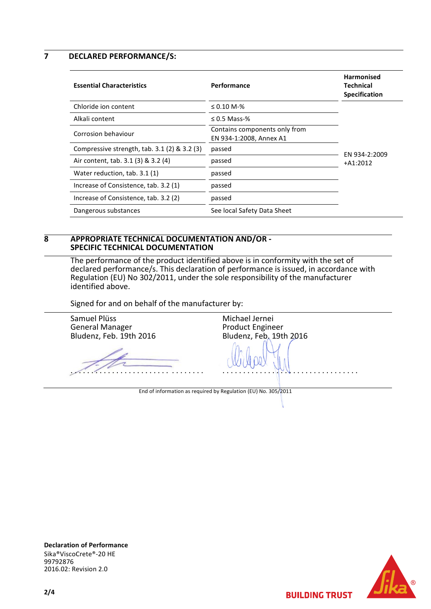**7 DECLARED PERFORMANCE/S:**

| <b>Essential Characteristics</b>                | Performance                                              | <b>Harmonised</b><br>Technical<br><b>Specification</b> |
|-------------------------------------------------|----------------------------------------------------------|--------------------------------------------------------|
| Chloride ion content                            | $\leq 0.10$ M-%                                          |                                                        |
| Alkali content                                  | $\leq$ 0.5 Mass-%                                        |                                                        |
| Corrosion behaviour                             | Contains components only from<br>EN 934-1:2008, Annex A1 |                                                        |
| Compressive strength, $tab. 3.1 (2) \& 3.2 (3)$ | passed                                                   | EN 934-2:2009                                          |
| Air content, tab. 3.1 (3) & 3.2 (4)             | passed                                                   | $+A1:2012$                                             |
| Water reduction, tab. 3.1 (1)                   | passed                                                   |                                                        |
| Increase of Consistence, tab. 3.2 (1)           | passed                                                   |                                                        |
| Increase of Consistence, tab. 3.2 (2)           | passed                                                   |                                                        |
| Dangerous substances                            | See local Safety Data Sheet                              |                                                        |

### **8 APPROPRIATE TECHNICAL DOCUMENTATION AND/OR - SPECIFIC TECHNICAL DOCUMENTATION**

The performance of the product identified above is in conformity with the set of declared performance/s. This declaration of performance is issued, in accordance with Regulation (EU) No 302/2011, under the sole responsibility of the manufacturer identified above.

Signed for and on behalf of the manufacturer by:

Samuel Plüss General Manager Bludenz, Feb. 19th 2016 . . . . . . . . . . . . . . . . . . . . . . . . . . . . . . . . Michael Jernei Product Engineer Bludenz, Feb. 19th 2016 . . . . . . . . . . . . . . . . . . . . . . . . . . . . . . . . . End of information as required by Regulation (EU) No. 305/2011





**BUILDING TRUST**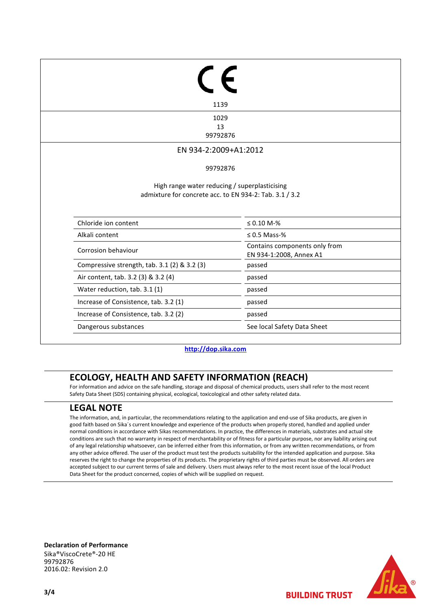| 1139                                                                                                     |                                                          |
|----------------------------------------------------------------------------------------------------------|----------------------------------------------------------|
| 1029                                                                                                     |                                                          |
| 13<br>99792876                                                                                           |                                                          |
|                                                                                                          |                                                          |
| EN 934-2:2009+A1:2012                                                                                    |                                                          |
| 99792876                                                                                                 |                                                          |
|                                                                                                          |                                                          |
| High range water reducing / superplasticising<br>admixture for concrete acc. to EN 934-2: Tab. 3.1 / 3.2 |                                                          |
| Chloride ion content                                                                                     | $\leq 0.10 M - \%$                                       |
| Alkali content                                                                                           | $\leq 0.5$ Mass-%                                        |
| Corrosion behaviour                                                                                      | Contains components only from<br>EN 934-1:2008, Annex A1 |
| Compressive strength, tab. 3.1 (2) & 3.2 (3)                                                             | passed                                                   |
| Air content, tab. 3.2 (3) & 3.2 (4)                                                                      | passed                                                   |
| Water reduction, tab. 3.1 (1)                                                                            | passed                                                   |
| Increase of Consistence, tab. 3.2 (1)                                                                    | passed                                                   |

#### **[http://dop.sika.com](http://dop.sika.com/)**

# **ECOLOGY, HEALTH AND SAFETY INFORMATION (REACH)**

For information and advice on the safe handling, storage and disposal of chemical products, users shall refer to the most recent Safety Data Sheet (SDS) containing physical, ecological, toxicological and other safety related data.

# **LEGAL NOTE**

The information, and, in particular, the recommendations relating to the application and end-use of Sika products, are given in good faith based on Sika´s current knowledge and experience of the products when properly stored, handled and applied under normal conditions in accordance with Sikas recommendations. In practice, the differences in materials, substrates and actual site conditions are such that no warranty in respect of merchantability or of fitness for a particular purpose, nor any liability arising out of any legal relationship whatsoever, can be inferred either from this information, or from any written recommendations, or from any other advice offered. The user of the product must test the products suitability for the intended application and purpose. Sika reserves the right to change the properties of its products. The proprietary rights of third parties must be observed. All orders are accepted subject to our current terms of sale and delivery. Users must always refer to the most recent issue of the local Product Data Sheet for the product concerned, copies of which will be supplied on request.

**Declaration of Performance** Sika®ViscoCrete®-20 HE 99792876 2016.02: Revision 2.0